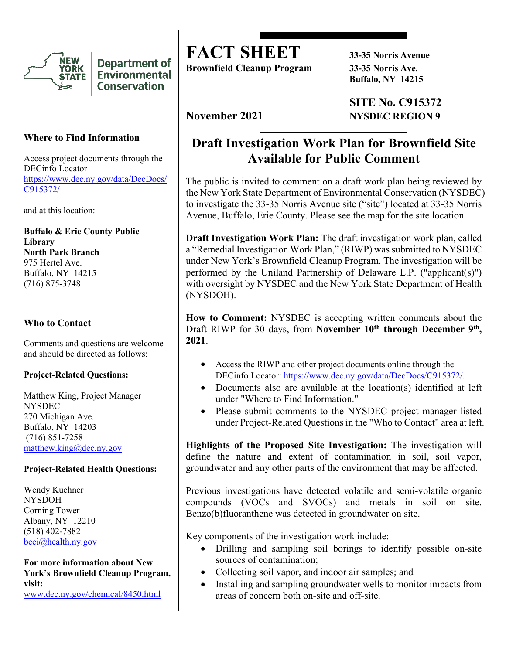

**Department of Environmental Conservation** 

## **Where to Find Information**

Access project documents through the DECinfo Locator [https://www.dec.ny.gov/data/DecDocs/](https://www.dec.ny.gov/data/DecDocs/C915372/) [C915372/](https://www.dec.ny.gov/data/DecDocs/C915372/)

and at this location:

**Buffalo & Erie County Public Library North Park Branch** 975 Hertel Ave. Buffalo, NY 14215 (716) 875-3748

# **Who to Contact**

Comments and questions are welcome and should be directed as follows:

### **Project-Related Questions:**

Matthew King, Project Manager **NYSDEC** 270 Michigan Ave. Buffalo, NY 14203 (716) 851-7258 [matthew.king@dec.ny.gov](mailto:matthew.king@dec.ny.gov)

### **Project-Related Health Questions:**

Wendy Kuehner NYSDOH Corning Tower Albany, NY 12210 (518) 402-7882 [beei@health.ny.gov](mailto:beei@health.ny.gov)

**For more information about New York's Brownfield Cleanup Program, visit:** [www.dec.ny.gov/chemical/8450.html](https://www.dec.ny.gov/chemical/8450.html)

**FACT SHEET 33-35 Norris Avenue** 

**Brownfield Cleanup Program 33-35 Norris Ave.**

**Buffalo, NY 14215**

**SITE No. C915372 November 2021 NYSDEC REGION 9** 

# **Draft Investigation Work Plan for Brownfield Site Available for Public Comment**

The public is invited to comment on a draft work plan being reviewed by the New York State Department of Environmental Conservation (NYSDEC) to investigate the 33-35 Norris Avenue site ("site") located at 33-35 Norris Avenue, Buffalo, Erie County. Please see the map for the site location.

**Draft Investigation Work Plan:** The draft investigation work plan, called a "Remedial Investigation Work Plan," (RIWP) was submitted to NYSDEC under New York's Brownfield Cleanup Program. The investigation will be performed by the Uniland Partnership of Delaware L.P. ("applicant(s)") with oversight by NYSDEC and the New York State Department of Health (NYSDOH).

**How to Comment:** NYSDEC is accepting written comments about the Draft RIWP for 30 days, from **November 10<sup>th</sup> through December 9<sup>th</sup>, 2021**.

- Access the RIWP and other project documents online through the DECinfo Locator: [https://www.dec.ny.gov/data/DecDocs/C915372/.](https://www.dec.ny.gov/data/DecDocs/C915372/)
- Documents also are available at the location(s) identified at left under "Where to Find Information."
- Please submit comments to the NYSDEC project manager listed under Project-Related Questions in the "Who to Contact" area at left.

**Highlights of the Proposed Site Investigation:** The investigation will define the nature and extent of contamination in soil, soil vapor, groundwater and any other parts of the environment that may be affected.

Previous investigations have detected volatile and semi-volatile organic compounds (VOCs and SVOCs) and metals in soil on site. Benzo(b)fluoranthene was detected in groundwater on site.

Key components of the investigation work include:

- Drilling and sampling soil borings to identify possible on-site sources of contamination;
- Collecting soil vapor, and indoor air samples; and
- Installing and sampling groundwater wells to monitor impacts from areas of concern both on-site and off-site.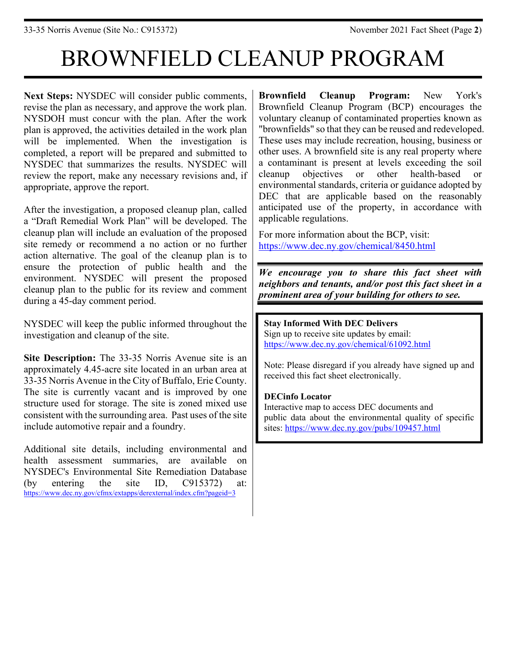# BROWNFIELD CLEANUP PROGRAM

**Next Steps:** NYSDEC will consider public comments, revise the plan as necessary, and approve the work plan. NYSDOH must concur with the plan. After the work plan is approved, the activities detailed in the work plan will be implemented. When the investigation is completed, a report will be prepared and submitted to NYSDEC that summarizes the results. NYSDEC will review the report, make any necessary revisions and, if appropriate, approve the report.

After the investigation, a proposed cleanup plan, called a "Draft Remedial Work Plan" will be developed. The cleanup plan will include an evaluation of the proposed site remedy or recommend a no action or no further action alternative. The goal of the cleanup plan is to ensure the protection of public health and the environment. NYSDEC will present the proposed cleanup plan to the public for its review and comment during a 45-day comment period.

NYSDEC will keep the public informed throughout the investigation and cleanup of the site.

**Site Description:** The 33-35 Norris Avenue site is an approximately 4.45-acre site located in an urban area at 33-35 Norris Avenue in the City of Buffalo, Erie County. The site is currently vacant and is improved by one structure used for storage. The site is zoned mixed use consistent with the surrounding area. Past uses of the site include automotive repair and a foundry.

Additional site details, including environmental and health assessment summaries, are available on NYSDEC's Environmental Site Remediation Database (by entering the site ID, C915372) at: <https://www.dec.ny.gov/cfmx/extapps/derexternal/index.cfm?pageid=3>

**Brownfield Cleanup Program:** New York's Brownfield Cleanup Program (BCP) encourages the voluntary cleanup of contaminated properties known as "brownfields" so that they can be reused and redeveloped. These uses may include recreation, housing, business or other uses. A brownfield site is any real property where a contaminant is present at levels exceeding the soil cleanup objectives or other health-based or environmental standards, criteria or guidance adopted by DEC that are applicable based on the reasonably anticipated use of the property, in accordance with applicable regulations.

For more information about the BCP, visit: <https://www.dec.ny.gov/chemical/8450.html>

*We encourage you to share this fact sheet with neighbors and tenants, and/or post this fact sheet in a prominent area of your building for others to see.*

**Stay Informed With DEC Delivers** Sign up to receive site updates by email: <https://www.dec.ny.gov/chemical/61092.html>

Note: Please disregard if you already have signed up and received this fact sheet electronically.

## **DECinfo Locator**

Interactive map to access DEC documents and public data about the environmental quality of specific sites:<https://www.dec.ny.gov/pubs/109457.html>